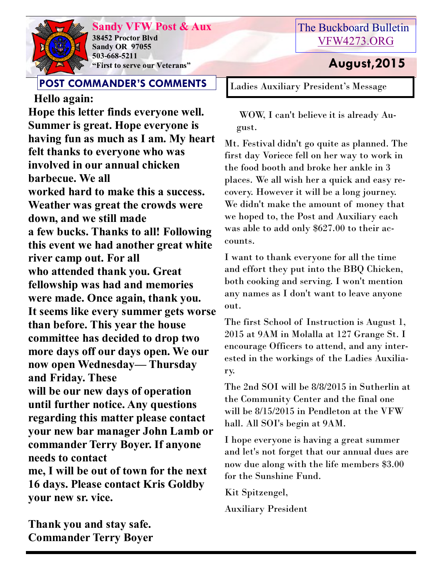

**Sandy VFW Post & Aux 38452 Proctor Blvd Sandy OR 97055 503-668-5211 "First to serve our Veterans" August,2015** 

### **POST COMMANDER'S COMMENTS**

 **Hello again: Hope this letter finds everyone well. Summer is great. Hope everyone is having fun as much as I am. My heart felt thanks to everyone who was involved in our annual chicken barbecue. We all worked hard to make this a success. Weather was great the crowds were down, and we still made a few bucks. Thanks to all! Following this event we had another great white river camp out. For all who attended thank you. Great fellowship was had and memories were made. Once again, thank you. It seems like every summer gets worse than before. This year the house committee has decided to drop two more days off our days open. We our now open Wednesday— Thursday and Friday. These will be our new days of operation until further notice. Any questions regarding this matter please contact your new bar manager John Lamb or commander Terry Boyer. If anyone needs to contact me, I will be out of town for the next 16 days. Please contact Kris Goldby your new sr. vice.**

The Buckboard Bulletin [VFW4273.ORG](http://vfw4273.org/)

Ladies Auxiliary President's Message

WOW, I can't believe it is already August.

Mt. Festival didn't go quite as planned. The first day Voriece fell on her way to work in the food booth and broke her ankle in 3 places. We all wish her a quick and easy recovery. However it will be a long journey. We didn't make the amount of money that we hoped to, the Post and Auxiliary each was able to add only \$627.00 to their accounts.

I want to thank everyone for all the time and effort they put into the BBQ Chicken, both cooking and serving. I won't mention any names as I don't want to leave anyone out.

The first School of Instruction is August 1, 2015 at 9AM in Molalla at 127 Grange St. I encourage Officers to attend, and any interested in the workings of the Ladies Auxiliary.

The 2nd SOI will be 8/8/2015 in Sutherlin at the Community Center and the final one will be 8/15/2015 in Pendleton at the VFW hall. All SOI's begin at 9AM.

I hope everyone is having a great summer and let's not forget that our annual dues are now due along with the life members \$3.00 for the Sunshine Fund.

Kit Spitzengel, Auxiliary President

**Thank you and stay safe. Commander Terry Boyer**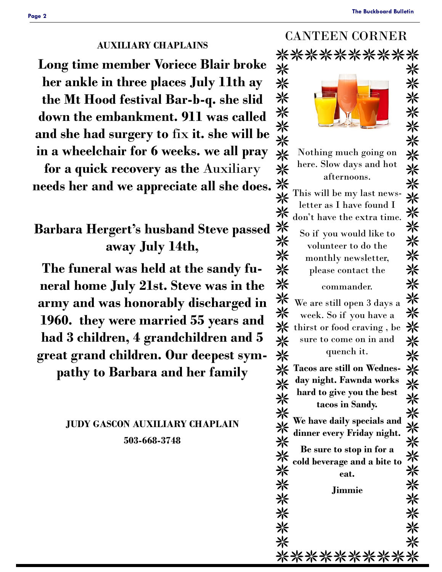CANTEEN CORNER

#### **AUXILIARY CHAPLAINS**

**Long time member Voriece Blair broke her ankle in three places July 11th ay the Mt Hood festival Bar-b-q. she slid down the embankment. 911 was called and she had surgery to** fix **it. she will be in a wheelchair for 6 weeks. we all pray** 

**for a quick recovery as the** Auxiliary **needs her and we appreciate all she does.**

# **Barbara Hergert's husband Steve passed away July 14th,**

**The funeral was held at the sandy funeral home July 21st. Steve was in the army and was honorably discharged in 1960. they were married 55 years and had 3 children, 4 grandchildren and 5 great grand children. Our deepest sym-**

**pathy to Barbara and her family**

#### **JUDY GASCON AUXILIARY CHAPLAIN 503-668-3748**

| ب كەلگە كا<br>$\mathbf{U}$ |                                     |   |  |  |  |
|----------------------------|-------------------------------------|---|--|--|--|
| **********                 |                                     |   |  |  |  |
| ☀                          |                                     |   |  |  |  |
| 兴                          |                                     |   |  |  |  |
| 兴                          |                                     |   |  |  |  |
| 米                          |                                     |   |  |  |  |
| 兴                          |                                     |   |  |  |  |
| ⋇                          |                                     |   |  |  |  |
| 米                          | Nothing much going on               |   |  |  |  |
| 兴                          | here. Slow days and hot             |   |  |  |  |
| 米                          | afternoons.                         |   |  |  |  |
|                            | This will be my last news-          |   |  |  |  |
|                            | letter as I have found I            |   |  |  |  |
| ⋇                          | don't have the extra time.          |   |  |  |  |
|                            | So if you would like to             |   |  |  |  |
| ⋇                          | volunteer to do the                 |   |  |  |  |
| 米                          | monthly newsletter,                 |   |  |  |  |
| 兴                          | please contact the                  |   |  |  |  |
| 兴                          | commander.                          |   |  |  |  |
| 米                          | We are still open 3 days a          |   |  |  |  |
| 兴                          | week. So if you have a              |   |  |  |  |
| 兴                          | thirst or food craving, be          |   |  |  |  |
| ⋇                          | sure to come on in and              |   |  |  |  |
| 米                          | quench it.                          | ⋇ |  |  |  |
|                            | <b>※ Tacos are still on Wednes-</b> | 米 |  |  |  |
|                            | day night. Fawnda works             |   |  |  |  |
| 米米                         | hard to give you the best           | 兴 |  |  |  |
|                            | tacos in Sandy.                     |   |  |  |  |
| 米米米米                       | We have daily specials and          |   |  |  |  |
|                            | dinner every Friday night.          | ⋇ |  |  |  |
|                            | Be sure to stop in for a            | 米 |  |  |  |
| 米米                         | cold beverage and a bite to         | ※ |  |  |  |
| 米                          | eat.                                | 米 |  |  |  |
| ☀                          | <b>Jimmie</b>                       |   |  |  |  |
|                            |                                     | ⋇ |  |  |  |
| ☀                          |                                     | ☀ |  |  |  |
| ☀                          |                                     | ☀ |  |  |  |
| ☀                          |                                     | ⋇ |  |  |  |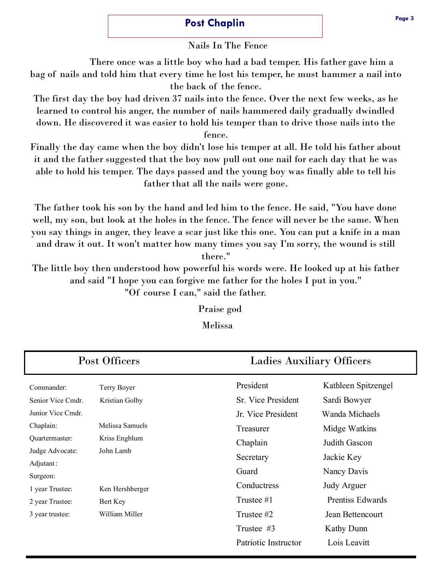#### **Post Chaplin**

Nails In The Fence

 There once was a little boy who had a bad temper. His father gave him a bag of nails and told him that every time he lost his temper, he must hammer a nail into the back of the fence.

The first day the boy had driven 37 nails into the fence. Over the next few weeks, as he learned to control his anger, the number of nails hammered daily gradually dwindled down. He discovered it was easier to hold his temper than to drive those nails into the fence.

Finally the day came when the boy didn't lose his temper at all. He told his father about it and the father suggested that the boy now pull out one nail for each day that he was able to hold his temper. The days passed and the young boy was finally able to tell his father that all the nails were gone.

The father took his son by the hand and led him to the fence. He said, "You have done well, my son, but look at the holes in the fence. The fence will never be the same. When you say things in anger, they leave a scar just like this one. You can put a knife in a man and draw it out. It won't matter how many times you say I'm sorry, the wound is still

there."

The little boy then understood how powerful his words were. He looked up at his father and said "I hope you can forgive me father for the holes I put in you."

"Of course I can," said the father.

Praise god

Melissa

| Post Officers                |                 |                      | <b>Ladies Auxiliary Officers</b> |  |  |
|------------------------------|-----------------|----------------------|----------------------------------|--|--|
| Commander:                   | Terry Boyer     | President            | Kathleen Spitzengel              |  |  |
| Senior Vice Cmdr.            | Kristian Golby  | Sr. Vice President   | Sardi Bowyer                     |  |  |
| Junior Vice Cmdr.            |                 | Jr. Vice President   | Wanda Michaels                   |  |  |
| Chaplain:                    | Melissa Samuels | Treasurer            | Midge Watkins                    |  |  |
| Quartermaster:               | Kriss Engblum   | Chaplain             | Judith Gascon                    |  |  |
| Judge Advocate:<br>John Lamb |                 | Secretary            | Jackie Key                       |  |  |
| Adjutant:                    |                 | Guard                | Nancy Davis                      |  |  |
| Surgeon:                     |                 |                      |                                  |  |  |
| 1 year Trustee:              | Ken Hershberger | Conductress          | <b>Judy Arguer</b>               |  |  |
| 2 year Trustee:              | Bert Key        | Trustee #1           | <b>Prentiss Edwards</b>          |  |  |
| 3 year trustee:              | William Miller  | Trustee #2           | Jean Bettencourt                 |  |  |
|                              |                 | Trustee #3           | Kathy Dunn                       |  |  |
|                              |                 | Patriotic Instructor | Lois Leavitt                     |  |  |